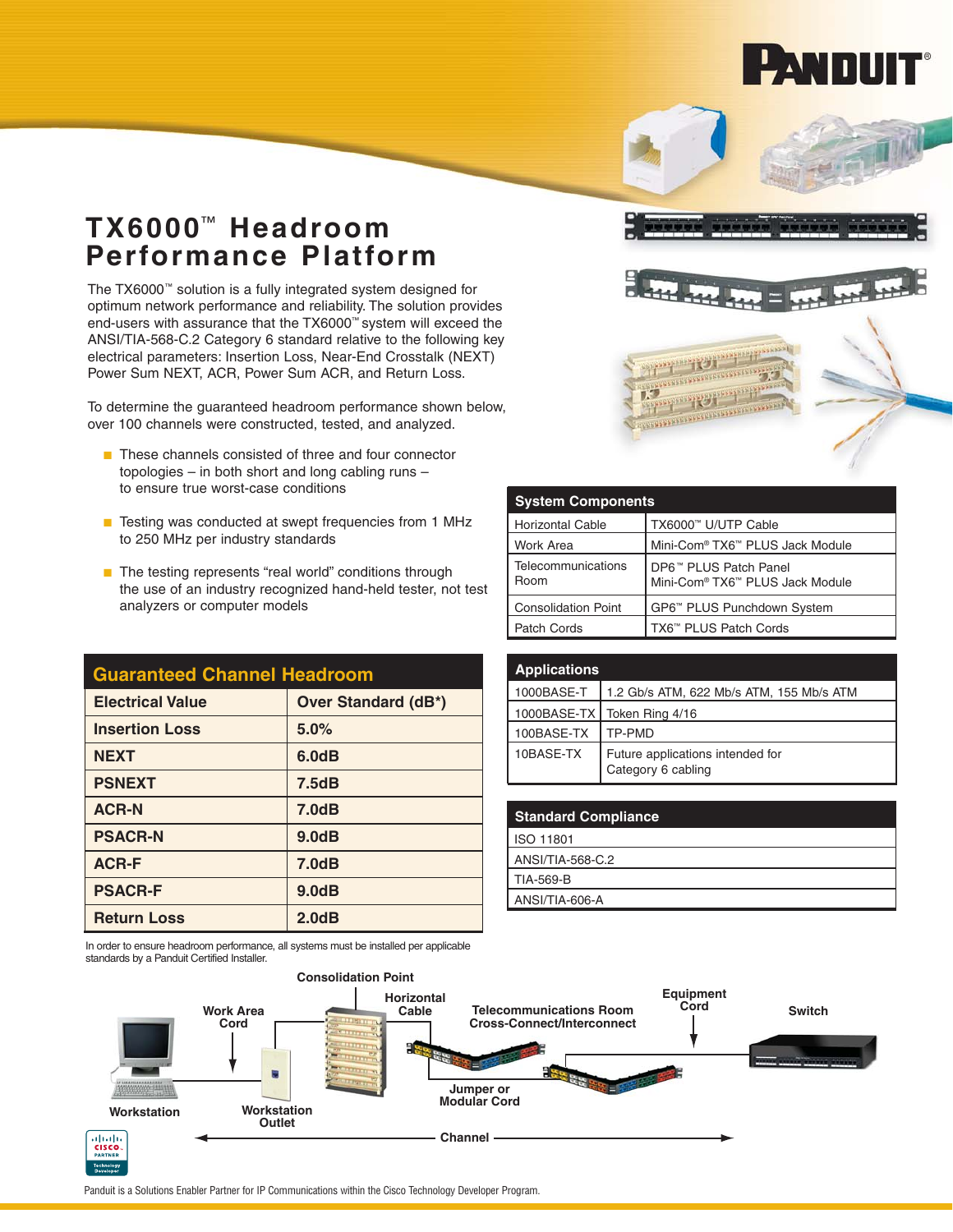

## **TX6000**™ **Headroom Performance Platform**

The TX6000™ solution is a fully integrated system designed for optimum network performance and reliability. The solution provides end-users with assurance that the TX6000™ system will exceed the ANSI/TIA-568-C.2 Category 6 standard relative to the following key electrical parameters: Insertion Loss, Near-End Crosstalk (NEXT) Power Sum NEXT, ACR, Power Sum ACR, and Return Loss.

To determine the guaranteed headroom performance shown below, over 100 channels were constructed, tested, and analyzed.

- These channels consisted of three and four connector topologies – in both short and long cabling runs – to ensure true worst-case conditions
- Testing was conducted at swept frequencies from 1 MHz to 250 MHz per industry standards
- The testing represents "real world" conditions through the use of an industry recognized hand-held tester, not test analyzers or computer models

| <b>Guaranteed Channel Headroom</b> |                            | <b>Application</b> |
|------------------------------------|----------------------------|--------------------|
| <b>Electrical Value</b>            | <b>Over Standard (dB*)</b> | 1000BASE-T         |
|                                    |                            | 1000BASE-T         |
| <b>Insertion Loss</b>              | 5.0%                       | 100BASE-TX         |
| <b>NEXT</b>                        | 6.0dB                      | 10BASE-TX          |
| <b>PSNEXT</b>                      | 7.5dB                      |                    |
| <b>ACR-N</b>                       | 7.0dB                      | <b>Standard C</b>  |
| <b>PSACR-N</b>                     | 9.0dB                      | ISO 11801          |
| <b>ACR-F</b>                       | 7.0dB                      | ANSI/TIA-568       |
| <b>PSACR-F</b>                     | 9.0dB                      | TIA-569-B          |
|                                    |                            | ANSI/TIA-60        |
| <b>Return Loss</b>                 | 2.0dB                      |                    |

In order to ensure headroom performance, all systems must be installed per applicable standards by a Panduit Certified Installer.



| <b>System Components</b>   |                                                                                              |  |  |
|----------------------------|----------------------------------------------------------------------------------------------|--|--|
| <b>Horizontal Cable</b>    | TX6000™ U/UTP Cable                                                                          |  |  |
| Work Area                  | Mini-Com <sup>®</sup> TX6™ PLUS Jack Module                                                  |  |  |
| Telecommunications<br>Room | DP6 <sup>™</sup> PLUS Patch Panel<br>Mini-Com <sup>®</sup> TX6 <sup>™</sup> PLUS Jack Module |  |  |
| <b>Consolidation Point</b> | GP6™ PLUS Punchdown System                                                                   |  |  |
| Patch Cords                | TX6™ PLUS Patch Cords                                                                        |  |  |

| <b>Applications</b> |                                                        |
|---------------------|--------------------------------------------------------|
| 1000BASE-T          | 1.2 Gb/s ATM, 622 Mb/s ATM, 155 Mb/s ATM               |
| 1000BASE-TXI        | Token Ring 4/16                                        |
| 100BASE-TX          | TP-PMD                                                 |
| 10BASE-TX           | Future applications intended for<br>Category 6 cabling |

| <b>Standard Compliance</b> |
|----------------------------|
| ISO 11801                  |
| ANSI/TIA-568-C.2           |
| TIA-569-B                  |
| ANSI/TIA-606-A             |



Panduit is a Solutions Enabler Partner for IP Communications within the Cisco Technology Developer Program.